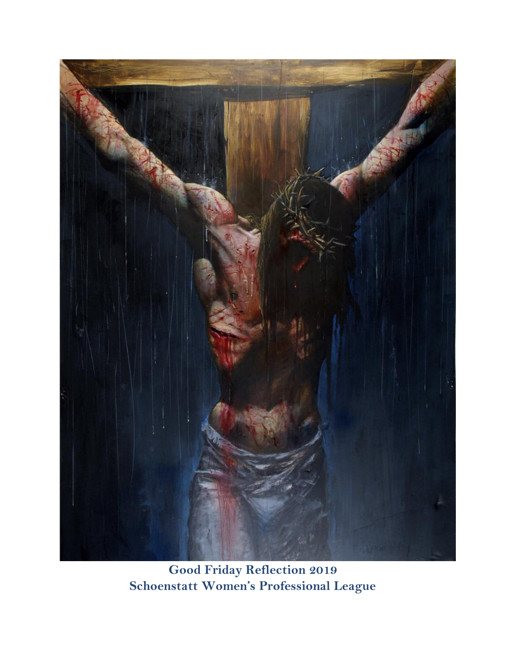

**Good Friday Reflection 2019 Schoenstatt Women's Professional League**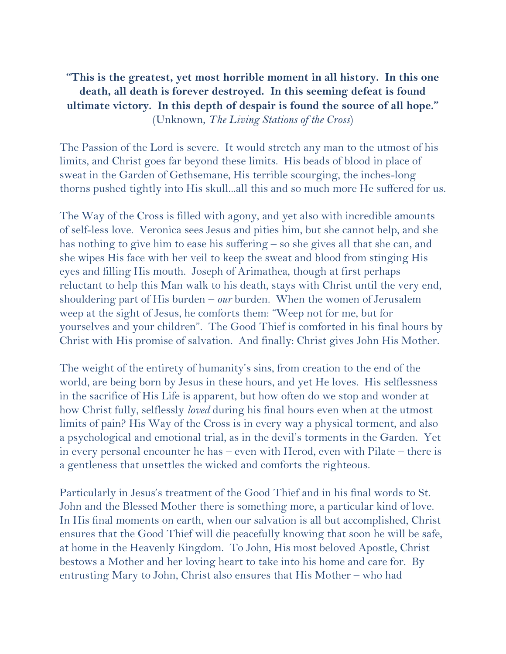## **"This is the greatest, yet most horrible moment in all history. In this one death, all death is forever destroyed. In this seeming defeat is found ultimate victory. In this depth of despair is found the source of all hope."** (Unknown, *The Living Stations of the Cross*)

The Passion of the Lord is severe. It would stretch any man to the utmost of his limits, and Christ goes far beyond these limits. His beads of blood in place of sweat in the Garden of Gethsemane, His terrible scourging, the inches-long thorns pushed tightly into His skull...all this and so much more He suffered for us.

The Way of the Cross is filled with agony, and yet also with incredible amounts of self-less love. Veronica sees Jesus and pities him, but she cannot help, and she has nothing to give him to ease his suffering – so she gives all that she can, and she wipes His face with her veil to keep the sweat and blood from stinging His eyes and filling His mouth. Joseph of Arimathea, though at first perhaps reluctant to help this Man walk to his death, stays with Christ until the very end, shouldering part of His burden – *our* burden. When the women of Jerusalem weep at the sight of Jesus, he comforts them: "Weep not for me, but for yourselves and your children". The Good Thief is comforted in his final hours by Christ with His promise of salvation. And finally: Christ gives John His Mother.

The weight of the entirety of humanity's sins, from creation to the end of the world, are being born by Jesus in these hours, and yet He loves. His selflessness in the sacrifice of His Life is apparent, but how often do we stop and wonder at how Christ fully, selflessly *loved* during his final hours even when at the utmost limits of pain? His Way of the Cross is in every way a physical torment, and also a psychological and emotional trial, as in the devil's torments in the Garden. Yet in every personal encounter he has – even with Herod, even with Pilate – there is a gentleness that unsettles the wicked and comforts the righteous.

Particularly in Jesus's treatment of the Good Thief and in his final words to St. John and the Blessed Mother there is something more, a particular kind of love. In His final moments on earth, when our salvation is all but accomplished, Christ ensures that the Good Thief will die peacefully knowing that soon he will be safe, at home in the Heavenly Kingdom. To John, His most beloved Apostle, Christ bestows a Mother and her loving heart to take into his home and care for. By entrusting Mary to John, Christ also ensures that His Mother – who had